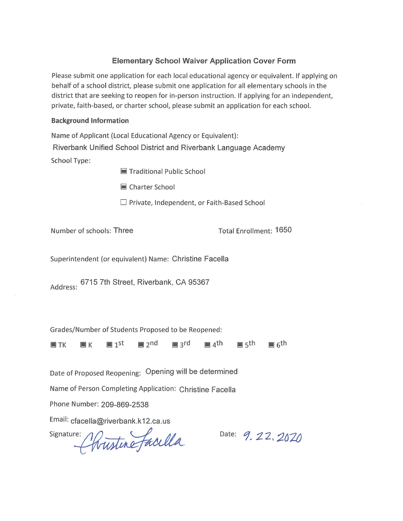### **Elementary School Waiver Application Cover Form**

Please submit one application for each local educational agency or equivalent. If applying on behalf of a school district, please submit one application for all elementary schools in the district that are seeking to reopen for in-person instruction. If applying for an independent, private, faith-based, or charter school, please submit an application for each school.

#### **Background Information**

Name of Applicant (Local Educational Agency or Equivalent): Riverbank Unified School District and Riverbank Language Academy **School Type:** 

Traditional Public School

Charter School

 $\Box$  Private, Independent, or Faith-Based School

Number of schools: Three

**Total Enrollment: 1650** 

Superintendent (or equivalent) Name: Christine Facella

Address: 6715 7th Street, Riverbank, CA 95367

Grades/Number of Students Proposed to be Reopened:

 $\n <sup>1</sup>$  $\mathbb{R}$  3rd  $\blacksquare$  4<sup>th</sup>  $\blacksquare$  1<sup>st</sup> porth  $\blacksquare$  6<sup>th</sup>  $\blacksquare$  TK  $\blacksquare$  K

Date of Proposed Reopening: Opening will be determined

Name of Person Completing Application: Christine Facella

Phone Number: 209-869-2538

Email: cfacella@riverbank.k12.ca.us

signature: Christine faculta

Date: 9, 22, 2020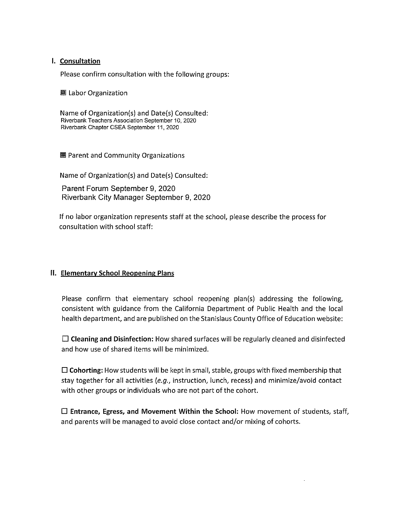#### I. Consultation

Please confirm consultation with the following groups:

■ Labor Organization

Name of Organization(s) and Date(s) Consulted: Riverbank Teachers Association September 10, 2020 Riverbank Chapter CSEA September 11, 2020

■ Parent and Community Organizations

Name of Organization(s) and Date(s) Consulted:

Parent Forum September 9, 2020 Riverbank City Manager September 9, 2020

If no labor organization represents staff at the school, please describe the process for consultation with school staff:

#### II. Elementary School Reopening Plans

Please confirm that elementary school reopening plan(s) addressing the following, consistent with guidance from the California Department of Public Health and the local health department, and are published on the Stanislaus County Office of Education website:

 $\Box$  Cleaning and Disinfection: How shared surfaces will be regularly cleaned and disinfected and how use of shared items will be minimized.

 $\Box$  Cohorting: How students will be kept in small, stable, groups with fixed membership that stay together for all activities (e.g., instruction, lunch, recess) and minimize/avoid contact with other groups or individuals who are not part of the cohort.

 $\Box$  Entrance, Egress, and Movement Within the School: How movement of students, staff, and parents will be managed to avoid close contact and/or mixing of cohorts.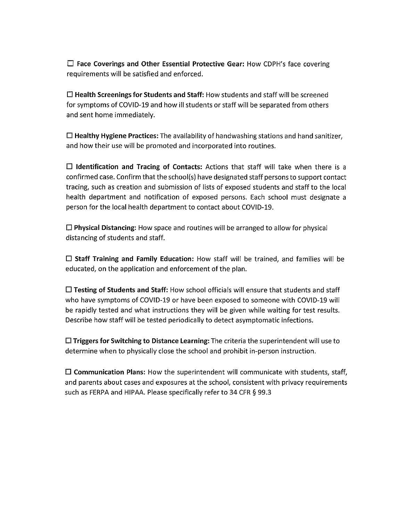$\Box$  Face Coverings and Other Essential Protective Gear: How CDPH's face covering requirements will be satisfied and enforced.

 $\Box$  Health Screenings for Students and Staff: How students and staff will be screened for symptoms of COVID-19 and how ill students or staff will be separated from others and sent home immediately.

 $\Box$  Healthy Hygiene Practices: The availability of handwashing stations and hand sanitizer, and how their use will be promoted and incorporated into routines.

 $\Box$  Identification and Tracing of Contacts: Actions that staff will take when there is a confirmed case. Confirm that the school(s) have designated staff persons to support contact tracing, such as creation and submission of lists of exposed students and staff to the local health department and notification of exposed persons. Each school must designate a person for the local health department to contact about COVID-19.

 $\Box$  Physical Distancing: How space and routines will be arranged to allow for physical distancing of students and staff.

 $\Box$  Staff Training and Family Education: How staff will be trained, and families will be educated, on the application and enforcement of the plan.

 $\Box$  Testing of Students and Staff: How school officials will ensure that students and staff who have symptoms of COVID-19 or have been exposed to someone with COVID-19 will be rapidly tested and what instructions they will be given while waiting for test results. Describe how staff will be tested periodically to detect asymptomatic infections.

 $\Box$  Triggers for Switching to Distance Learning: The criteria the superintendent will use to determine when to physically close the school and prohibit in-person instruction.

 $\Box$  Communication Plans: How the superintendent will communicate with students, staff, and parents about cases and exposures at the school, consistent with privacy requirements such as FERPA and HIPAA. Please specifically refer to 34 CFR § 99.3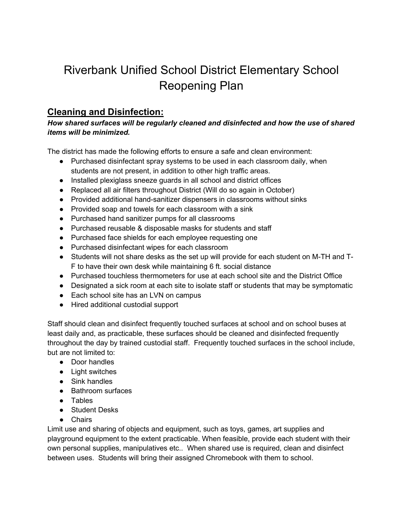# Riverbank Unified School District Elementary School Reopening Plan

## **Cleaning and Disinfection:**

#### *How shared surfaces will be regularly cleaned and disinfected and how the use of shared items will be minimized.*

The district has made the following efforts to ensure a safe and clean environment:

- Purchased disinfectant spray systems to be used in each classroom daily, when students are not present, in addition to other high traffic areas.
- Installed plexiglass sneeze guards in all school and district offices
- Replaced all air filters throughout District (Will do so again in October)
- Provided additional hand-sanitizer dispensers in classrooms without sinks
- Provided soap and towels for each classroom with a sink
- Purchased hand sanitizer pumps for all classrooms
- Purchased reusable & disposable masks for students and staff
- Purchased face shields for each employee requesting one
- Purchased disinfectant wipes for each classroom
- Students will not share desks as the set up will provide for each student on M-TH and T-F to have their own desk while maintaining 6 ft. social distance
- Purchased touchless thermometers for use at each school site and the District Office
- Designated a sick room at each site to isolate staff or students that may be symptomatic
- Each school site has an LVN on campus
- Hired additional custodial support

Staff should clean and disinfect frequently touched surfaces at school and on school buses at least daily and, as practicable, these surfaces should be cleaned and disinfected frequently throughout the day by trained custodial staff. Frequently touched surfaces in the school include, but are not limited to:

- Door handles
- Light switches
- Sink handles
- Bathroom surfaces
- Tables
- Student Desks
- Chairs

Limit use and sharing of objects and equipment, such as toys, games, art supplies and playground equipment to the extent practicable. When feasible, provide each student with their own personal supplies, manipulatives etc.. When shared use is required, clean and disinfect between uses. Students will bring their assigned Chromebook with them to school.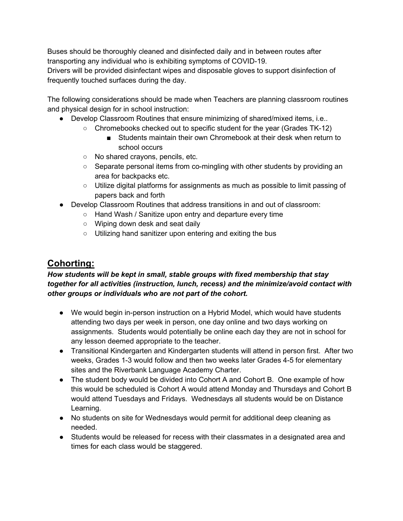Buses should be thoroughly cleaned and disinfected daily and in between routes after transporting any individual who is exhibiting symptoms of COVID-19.

Drivers will be provided disinfectant wipes and disposable gloves to support disinfection of frequently touched surfaces during the day.

The following considerations should be made when Teachers are planning classroom routines and physical design for in school instruction:

- Develop Classroom Routines that ensure minimizing of shared/mixed items, i.e..
	- Chromebooks checked out to specific student for the year (Grades TK-12)
		- Students maintain their own Chromebook at their desk when return to school occurs
	- No shared crayons, pencils, etc.
	- Separate personal items from co-mingling with other students by providing an area for backpacks etc.
	- Utilize digital platforms for assignments as much as possible to limit passing of papers back and forth
- Develop Classroom Routines that address transitions in and out of classroom:
	- Hand Wash / Sanitize upon entry and departure every time
		- Wiping down desk and seat daily
		- Utilizing hand sanitizer upon entering and exiting the bus

## **Cohorting:**

### *How students will be kept in small, stable groups with fixed membership that stay together for all activities (instruction, lunch, recess) and the minimize/avoid contact with other groups or individuals who are not part of the cohort.*

- We would begin in-person instruction on a Hybrid Model, which would have students attending two days per week in person, one day online and two days working on assignments. Students would potentially be online each day they are not in school for any lesson deemed appropriate to the teacher.
- Transitional Kindergarten and Kindergarten students will attend in person first. After two weeks, Grades 1-3 would follow and then two weeks later Grades 4-5 for elementary sites and the Riverbank Language Academy Charter.
- The student body would be divided into Cohort A and Cohort B. One example of how this would be scheduled is Cohort A would attend Monday and Thursdays and Cohort B would attend Tuesdays and Fridays. Wednesdays all students would be on Distance Learning.
- No students on site for Wednesdays would permit for additional deep cleaning as needed.
- Students would be released for recess with their classmates in a designated area and times for each class would be staggered.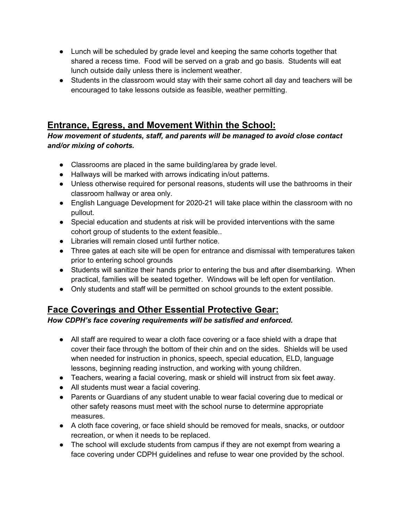- Lunch will be scheduled by grade level and keeping the same cohorts together that shared a recess time. Food will be served on a grab and go basis. Students will eat lunch outside daily unless there is inclement weather.
- Students in the classroom would stay with their same cohort all day and teachers will be encouraged to take lessons outside as feasible, weather permitting.

# **Entrance, Egress, and Movement Within the School:**

*How movement of students, staff, and parents will be managed to avoid close contact and/or mixing of cohorts.*

- Classrooms are placed in the same building/area by grade level.
- Hallways will be marked with arrows indicating in/out patterns.
- Unless otherwise required for personal reasons, students will use the bathrooms in their classroom hallway or area only.
- English Language Development for 2020-21 will take place within the classroom with no pullout.
- Special education and students at risk will be provided interventions with the same cohort group of students to the extent feasible..
- Libraries will remain closed until further notice.
- Three gates at each site will be open for entrance and dismissal with temperatures taken prior to entering school grounds
- Students will sanitize their hands prior to entering the bus and after disembarking. When practical, families will be seated together. Windows will be left open for ventilation.
- Only students and staff will be permitted on school grounds to the extent possible.

## **Face Coverings and Other Essential Protective Gear:**

*How CDPH's face covering requirements will be satisfied and enforced.*

- All staff are required to wear a cloth face covering or a face shield with a drape that cover their face through the bottom of their chin and on the sides. Shields will be used when needed for instruction in phonics, speech, special education, ELD, language lessons, beginning reading instruction, and working with young children.
- Teachers, wearing a facial covering, mask or shield will instruct from six feet away.
- All students must wear a facial covering.
- Parents or Guardians of any student unable to wear facial covering due to medical or other safety reasons must meet with the school nurse to determine appropriate measures.
- A cloth face covering, or face shield should be removed for meals, snacks, or outdoor recreation, or when it needs to be replaced.
- The school will exclude students from campus if they are not exempt from wearing a face covering under CDPH guidelines and refuse to wear one provided by the school.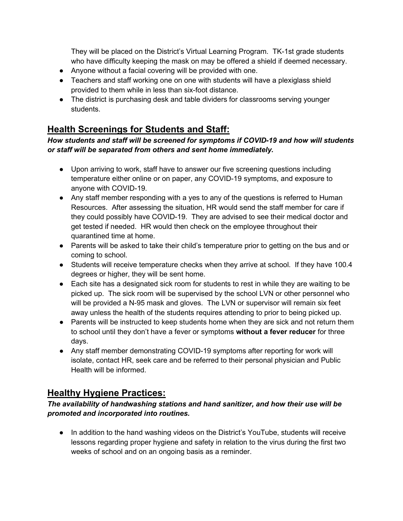They will be placed on the District's Virtual Learning Program. TK-1st grade students who have difficulty keeping the mask on may be offered a shield if deemed necessary.

- Anyone without a facial covering will be provided with one.
- Teachers and staff working one on one with students will have a plexiglass shield provided to them while in less than six-foot distance.
- The district is purchasing desk and table dividers for classrooms serving younger students.

### **Health Screenings for Students and Staff:**

### *How students and staff will be screened for symptoms if COVID-19 and how will students or staff will be separated from others and sent home immediately.*

- Upon arriving to work, staff have to answer our five screening questions including temperature either online or on paper, any COVID-19 symptoms, and exposure to anyone with COVID-19.
- Any staff member responding with a yes to any of the questions is referred to Human Resources. After assessing the situation, HR would send the staff member for care if they could possibly have COVID-19. They are advised to see their medical doctor and get tested if needed. HR would then check on the employee throughout their quarantined time at home.
- Parents will be asked to take their child's temperature prior to getting on the bus and or coming to school.
- Students will receive temperature checks when they arrive at school. If they have 100.4 degrees or higher, they will be sent home.
- Each site has a designated sick room for students to rest in while they are waiting to be picked up. The sick room will be supervised by the school LVN or other personnel who will be provided a N-95 mask and gloves. The LVN or supervisor will remain six feet away unless the health of the students requires attending to prior to being picked up.
- Parents will be instructed to keep students home when they are sick and not return them to school until they don't have a fever or symptoms **without a fever reducer** for three days.
- Any staff member demonstrating COVID-19 symptoms after reporting for work will isolate, contact HR, seek care and be referred to their personal physician and Public Health will be informed.

## **Healthy Hygiene Practices:**

### *The availability of handwashing stations and hand sanitizer, and how their use will be promoted and incorporated into routines.*

● In addition to the hand washing videos on the District's YouTube, students will receive lessons regarding proper hygiene and safety in relation to the virus during the first two weeks of school and on an ongoing basis as a reminder.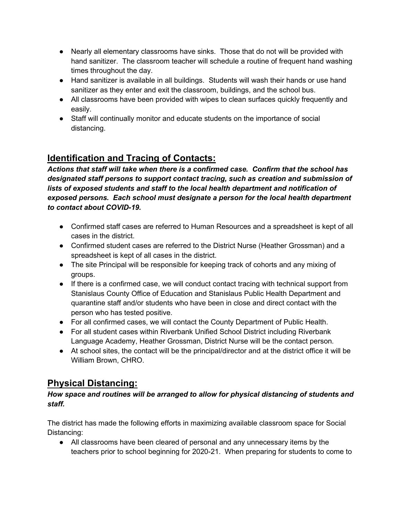- Nearly all elementary classrooms have sinks. Those that do not will be provided with hand sanitizer. The classroom teacher will schedule a routine of frequent hand washing times throughout the day.
- Hand sanitizer is available in all buildings. Students will wash their hands or use hand sanitizer as they enter and exit the classroom, buildings, and the school bus.
- All classrooms have been provided with wipes to clean surfaces quickly frequently and easily.
- Staff will continually monitor and educate students on the importance of social distancing.

# **Identification and Tracing of Contacts:**

*Actions that staff will take when there is a confirmed case. Confirm that the school has designated staff persons to support contact tracing, such as creation and submission of lists of exposed students and staff to the local health department and notification of exposed persons. Each school must designate a person for the local health department to contact about COVID-19.*

- Confirmed staff cases are referred to Human Resources and a spreadsheet is kept of all cases in the district.
- Confirmed student cases are referred to the District Nurse (Heather Grossman) and a spreadsheet is kept of all cases in the district.
- The site Principal will be responsible for keeping track of cohorts and any mixing of groups.
- If there is a confirmed case, we will conduct contact tracing with technical support from Stanislaus County Office of Education and Stanislaus Public Health Department and quarantine staff and/or students who have been in close and direct contact with the person who has tested positive.
- For all confirmed cases, we will contact the County Department of Public Health.
- For all student cases within Riverbank Unified School District including Riverbank Language Academy, Heather Grossman, District Nurse will be the contact person.
- At school sites, the contact will be the principal/director and at the district office it will be William Brown, CHRO.

## **Physical Distancing:**

### *How space and routines will be arranged to allow for physical distancing of students and staff.*

The district has made the following efforts in maximizing available classroom space for Social Distancing:

● All classrooms have been cleared of personal and any unnecessary items by the teachers prior to school beginning for 2020-21. When preparing for students to come to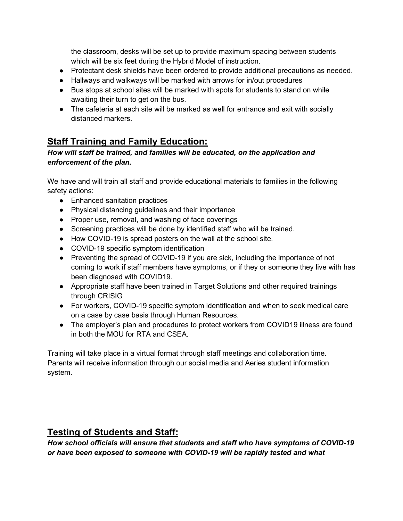the classroom, desks will be set up to provide maximum spacing between students which will be six feet during the Hybrid Model of instruction.

- Protectant desk shields have been ordered to provide additional precautions as needed.
- Hallways and walkways will be marked with arrows for in/out procedures
- Bus stops at school sites will be marked with spots for students to stand on while awaiting their turn to get on the bus.
- The cafeteria at each site will be marked as well for entrance and exit with socially distanced markers.

### **Staff Training and Family Education:**

#### *How will staff be trained, and families will be educated, on the application and enforcement of the plan.*

We have and will train all staff and provide educational materials to families in the following safety actions:

- Enhanced sanitation practices
- Physical distancing guidelines and their importance
- Proper use, removal, and washing of face coverings
- Screening practices will be done by identified staff who will be trained.
- How COVID-19 is spread posters on the wall at the school site.
- COVID-19 specific symptom identification
- Preventing the spread of COVID-19 if you are sick, including the importance of not coming to work if staff members have symptoms, or if they or someone they live with has been diagnosed with COVID19.
- Appropriate staff have been trained in Target Solutions and other required trainings through CRISIG
- For workers, COVID-19 specific symptom identification and when to seek medical care on a case by case basis through Human Resources.
- The employer's plan and procedures to protect workers from COVID19 illness are found in both the MOU for RTA and CSEA.

Training will take place in a virtual format through staff meetings and collaboration time. Parents will receive information through our social media and Aeries student information system.

### **Testing of Students and Staff:**

*How school officials will ensure that students and staff who have symptoms of COVID-19 or have been exposed to someone with COVID-19 will be rapidly tested and what*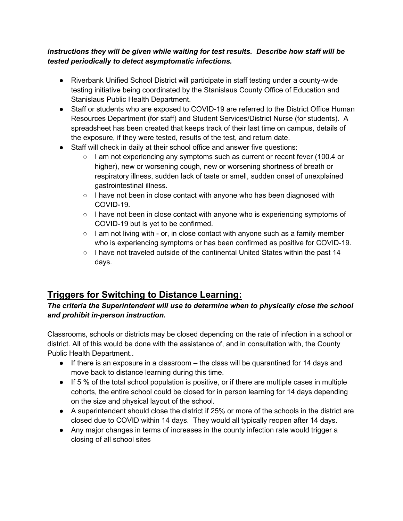#### *instructions they will be given while waiting for test results. Describe how staff will be tested periodically to detect asymptomatic infections.*

- Riverbank Unified School District will participate in staff testing under a county-wide testing initiative being coordinated by the Stanislaus County Office of Education and Stanislaus Public Health Department.
- Staff or students who are exposed to COVID-19 are referred to the District Office Human Resources Department (for staff) and Student Services/District Nurse (for students). A spreadsheet has been created that keeps track of their last time on campus, details of the exposure, if they were tested, results of the test, and return date.
- Staff will check in daily at their school office and answer five questions:
	- I am not experiencing any symptoms such as current or recent fever (100.4 or higher), new or worsening cough, new or worsening shortness of breath or respiratory illness, sudden lack of taste or smell, sudden onset of unexplained gastrointestinal illness.
	- I have not been in close contact with anyone who has been diagnosed with COVID-19.
	- $\circ$  I have not been in close contact with anyone who is experiencing symptoms of COVID-19 but is yet to be confirmed.
	- $\circ$  I am not living with or, in close contact with anyone such as a family member who is experiencing symptoms or has been confirmed as positive for COVID-19.
	- $\circ$  I have not traveled outside of the continental United States within the past 14 days.

## **Triggers for Switching to Distance Learning:**

### *The criteria the Superintendent will use to determine when to physically close the school and prohibit in-person instruction.*

Classrooms, schools or districts may be closed depending on the rate of infection in a school or district. All of this would be done with the assistance of, and in consultation with, the County Public Health Department..

- $\bullet$  If there is an exposure in a classroom the class will be quarantined for 14 days and move back to distance learning during this time.
- $\bullet$  If 5 % of the total school population is positive, or if there are multiple cases in multiple cohorts, the entire school could be closed for in person learning for 14 days depending on the size and physical layout of the school.
- A superintendent should close the district if 25% or more of the schools in the district are closed due to COVID within 14 days. They would all typically reopen after 14 days.
- Any major changes in terms of increases in the county infection rate would trigger a closing of all school sites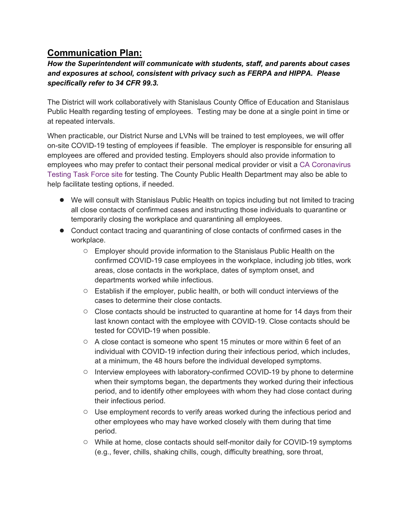### **Communication Plan:**

### *How the Superintendent will communicate with students, staff, and parents about cases and exposures at school, consistent with privacy such as FERPA and HIPPA. Please specifically refer to 34 CFR 99.3.*

The District will work collaboratively with Stanislaus County Office of Education and Stanislaus Public Health regarding testing of employees. Testing may be done at a single point in time or at repeated intervals.

When practicable, our District Nurse and LVNs will be trained to test employees, we will offer on-site COVID-19 testing of employees if feasible. The employer is responsible for ensuring all employees are offered and provided testing. Employers should also provide information to employees who may prefer to contact their personal medical provider or visit a [CA Coronavirus](https://testing.covid19.ca.gov/)  [Testing Task Force site](https://testing.covid19.ca.gov/) for testing. The County Public Health Department may also be able to help facilitate testing options, if needed.

- We will consult with Stanislaus Public Health on topics including but not limited to tracing all close contacts of confirmed cases and instructing those individuals to quarantine or temporarily closing the workplace and quarantining all employees.
- Conduct contact tracing and quarantining of close contacts of confirmed cases in the workplace.
	- Employer should provide information to the Stanislaus Public Health on the confirmed COVID-19 case employees in the workplace, including job titles, work areas, close contacts in the workplace, dates of symptom onset, and departments worked while infectious.
	- Establish if the employer, public health, or both will conduct interviews of the cases to determine their close contacts.
	- Close contacts should be instructed to quarantine at home for 14 days from their last known contact with the employee with COVID-19. Close contacts should be tested for COVID-19 when possible.
	- $\circ$  A close contact is someone who spent 15 minutes or more within 6 feet of an individual with COVID-19 infection during their infectious period, which includes, at a minimum, the 48 hours before the individual developed symptoms.
	- Interview employees with laboratory-confirmed COVID-19 by phone to determine when their symptoms began, the departments they worked during their infectious period, and to identify other employees with whom they had close contact during their infectious period.
	- Use employment records to verify areas worked during the infectious period and other employees who may have worked closely with them during that time period.
	- While at home, close contacts should self-monitor daily for COVID-19 symptoms (e.g., fever, chills, shaking chills, cough, difficulty breathing, sore throat,